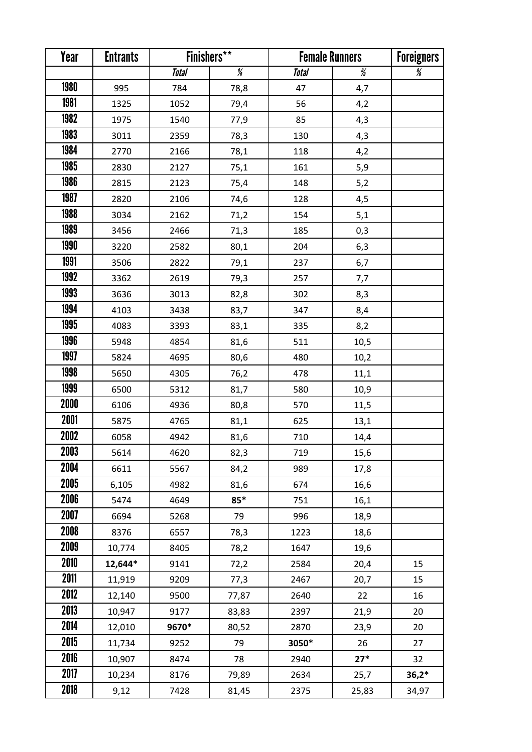| Year        | <b>Entrants</b> | <b>Finishers**</b> |       | <b>Female Runners</b> |       | <b>Foreigners</b>                                                                                                                                                                                                                                                                                                                                                                                                                                                                                                                                                                                                                                                                    |
|-------------|-----------------|--------------------|-------|-----------------------|-------|--------------------------------------------------------------------------------------------------------------------------------------------------------------------------------------------------------------------------------------------------------------------------------------------------------------------------------------------------------------------------------------------------------------------------------------------------------------------------------------------------------------------------------------------------------------------------------------------------------------------------------------------------------------------------------------|
|             |                 | <b>Total</b>       | ₩     | <b>Total</b>          | %     | $% \mathcal{B} \rightarrow \mathcal{B} \rightarrow \mathcal{B} \rightarrow \mathcal{B} \rightarrow \mathcal{B} \rightarrow \mathcal{B} \rightarrow \mathcal{B} \rightarrow \mathcal{B} \rightarrow \mathcal{B} \rightarrow \mathcal{B} \rightarrow \mathcal{B} \rightarrow \mathcal{B} \rightarrow \mathcal{B} \rightarrow \mathcal{B} \rightarrow \mathcal{B} \rightarrow \mathcal{B} \rightarrow \mathcal{B} \rightarrow \mathcal{B} \rightarrow \mathcal{B} \rightarrow \mathcal{B} \rightarrow \mathcal{B} \rightarrow \mathcal{B} \rightarrow \mathcal{B} \rightarrow \mathcal{B} \rightarrow \mathcal{B} \rightarrow \mathcal{B} \rightarrow \mathcal{B} \rightarrow \mathcal$ |
| <b>1980</b> | 995             | 784                | 78,8  | 47                    | 4,7   |                                                                                                                                                                                                                                                                                                                                                                                                                                                                                                                                                                                                                                                                                      |
| 1981        | 1325            | 1052               | 79,4  | 56                    | 4,2   |                                                                                                                                                                                                                                                                                                                                                                                                                                                                                                                                                                                                                                                                                      |
| 1982        | 1975            | 1540               | 77,9  | 85                    | 4,3   |                                                                                                                                                                                                                                                                                                                                                                                                                                                                                                                                                                                                                                                                                      |
| 1983        | 3011            | 2359               | 78,3  | 130                   | 4,3   |                                                                                                                                                                                                                                                                                                                                                                                                                                                                                                                                                                                                                                                                                      |
| 1984        | 2770            | 2166               | 78,1  | 118                   | 4,2   |                                                                                                                                                                                                                                                                                                                                                                                                                                                                                                                                                                                                                                                                                      |
| 1985        | 2830            | 2127               | 75,1  | 161                   | 5,9   |                                                                                                                                                                                                                                                                                                                                                                                                                                                                                                                                                                                                                                                                                      |
| 1986        | 2815            | 2123               | 75,4  | 148                   | 5,2   |                                                                                                                                                                                                                                                                                                                                                                                                                                                                                                                                                                                                                                                                                      |
| 1987        | 2820            | 2106               | 74,6  | 128                   | 4,5   |                                                                                                                                                                                                                                                                                                                                                                                                                                                                                                                                                                                                                                                                                      |
| 1988        | 3034            | 2162               | 71,2  | 154                   | 5,1   |                                                                                                                                                                                                                                                                                                                                                                                                                                                                                                                                                                                                                                                                                      |
| 1989        | 3456            | 2466               | 71,3  | 185                   | 0,3   |                                                                                                                                                                                                                                                                                                                                                                                                                                                                                                                                                                                                                                                                                      |
| 1990        | 3220            | 2582               | 80,1  | 204                   | 6,3   |                                                                                                                                                                                                                                                                                                                                                                                                                                                                                                                                                                                                                                                                                      |
| 1991        | 3506            | 2822               | 79,1  | 237                   | 6,7   |                                                                                                                                                                                                                                                                                                                                                                                                                                                                                                                                                                                                                                                                                      |
| 1992        | 3362            | 2619               | 79,3  | 257                   | 7,7   |                                                                                                                                                                                                                                                                                                                                                                                                                                                                                                                                                                                                                                                                                      |
| 1993        | 3636            | 3013               | 82,8  | 302                   | 8,3   |                                                                                                                                                                                                                                                                                                                                                                                                                                                                                                                                                                                                                                                                                      |
| 1994        | 4103            | 3438               | 83,7  | 347                   | 8,4   |                                                                                                                                                                                                                                                                                                                                                                                                                                                                                                                                                                                                                                                                                      |
| 1995        | 4083            | 3393               | 83,1  | 335                   | 8,2   |                                                                                                                                                                                                                                                                                                                                                                                                                                                                                                                                                                                                                                                                                      |
| 1996        | 5948            | 4854               | 81,6  | 511                   | 10,5  |                                                                                                                                                                                                                                                                                                                                                                                                                                                                                                                                                                                                                                                                                      |
| 1997        | 5824            | 4695               | 80,6  | 480                   | 10,2  |                                                                                                                                                                                                                                                                                                                                                                                                                                                                                                                                                                                                                                                                                      |
| 1998        | 5650            | 4305               | 76,2  | 478                   | 11,1  |                                                                                                                                                                                                                                                                                                                                                                                                                                                                                                                                                                                                                                                                                      |
| 1999        | 6500            | 5312               | 81,7  | 580                   | 10,9  |                                                                                                                                                                                                                                                                                                                                                                                                                                                                                                                                                                                                                                                                                      |
| 2000        | 6106            | 4936               | 80,8  | 570                   | 11,5  |                                                                                                                                                                                                                                                                                                                                                                                                                                                                                                                                                                                                                                                                                      |
| 2001        | 5875            | 4765               | 81,1  | 625                   | 13,1  |                                                                                                                                                                                                                                                                                                                                                                                                                                                                                                                                                                                                                                                                                      |
| 2002        | 6058            | 4942               | 81,6  | 710                   | 14,4  |                                                                                                                                                                                                                                                                                                                                                                                                                                                                                                                                                                                                                                                                                      |
| 2003        | 5614            | 4620               | 82,3  | 719                   | 15,6  |                                                                                                                                                                                                                                                                                                                                                                                                                                                                                                                                                                                                                                                                                      |
| 2004        | 6611            | 5567               | 84,2  | 989                   | 17,8  |                                                                                                                                                                                                                                                                                                                                                                                                                                                                                                                                                                                                                                                                                      |
| 2005        | 6,105           | 4982               | 81,6  | 674                   | 16,6  |                                                                                                                                                                                                                                                                                                                                                                                                                                                                                                                                                                                                                                                                                      |
| 2006        | 5474            | 4649               | $85*$ | 751                   | 16,1  |                                                                                                                                                                                                                                                                                                                                                                                                                                                                                                                                                                                                                                                                                      |
| 2007        | 6694            | 5268               | 79    | 996                   | 18,9  |                                                                                                                                                                                                                                                                                                                                                                                                                                                                                                                                                                                                                                                                                      |
| 2008        | 8376            | 6557               | 78,3  | 1223                  | 18,6  |                                                                                                                                                                                                                                                                                                                                                                                                                                                                                                                                                                                                                                                                                      |
| 2009        | 10,774          | 8405               | 78,2  | 1647                  | 19,6  |                                                                                                                                                                                                                                                                                                                                                                                                                                                                                                                                                                                                                                                                                      |
| 2010        | 12,644*         | 9141               | 72,2  | 2584                  | 20,4  | 15                                                                                                                                                                                                                                                                                                                                                                                                                                                                                                                                                                                                                                                                                   |
| 2011        | 11,919          | 9209               | 77,3  | 2467                  | 20,7  | 15                                                                                                                                                                                                                                                                                                                                                                                                                                                                                                                                                                                                                                                                                   |
| 2012        | 12,140          | 9500               | 77,87 | 2640                  | 22    | 16                                                                                                                                                                                                                                                                                                                                                                                                                                                                                                                                                                                                                                                                                   |
| 2013        | 10,947          | 9177               | 83,83 | 2397                  | 21,9  | 20                                                                                                                                                                                                                                                                                                                                                                                                                                                                                                                                                                                                                                                                                   |
| 2014        | 12,010          | 9670*              | 80,52 | 2870                  | 23,9  | 20                                                                                                                                                                                                                                                                                                                                                                                                                                                                                                                                                                                                                                                                                   |
| 2015        | 11,734          | 9252               | 79    | 3050*                 | 26    | 27                                                                                                                                                                                                                                                                                                                                                                                                                                                                                                                                                                                                                                                                                   |
| 2016        | 10,907          | 8474               | 78    | 2940                  | $27*$ | 32                                                                                                                                                                                                                                                                                                                                                                                                                                                                                                                                                                                                                                                                                   |
| 2017        | 10,234          | 8176               | 79,89 | 2634                  | 25,7  | $36,2*$                                                                                                                                                                                                                                                                                                                                                                                                                                                                                                                                                                                                                                                                              |
| 2018        | 9,12            | 7428               | 81,45 | 2375                  | 25,83 | 34,97                                                                                                                                                                                                                                                                                                                                                                                                                                                                                                                                                                                                                                                                                |